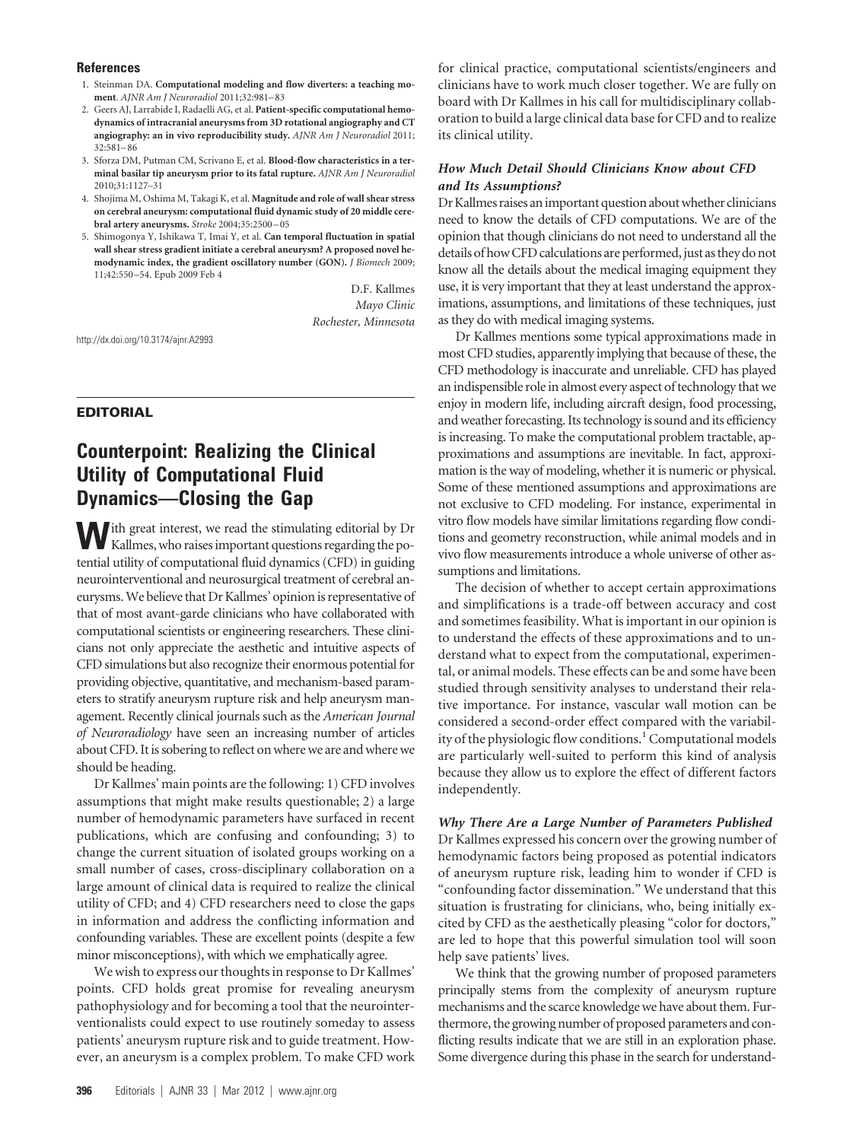#### **References**

- 1. Steinman DA. **Computational modeling and flow diverters: a teaching moment**. *AJNR Am J Neuroradiol* 2011;32:981–83
- 2. Geers AJ, Larrabide I, Radaelli AG, et al. **Patient-specific computational hemodynamics of intracranial aneurysms from 3D rotational angiography and CT angiography: an in vivo reproducibility study.** *AJNR Am J Neuroradiol* 2011; 32:581–86
- 3. Sforza DM, Putman CM, Scrivano E, et al. **Blood-flow characteristics in a terminal basilar tip aneurysm prior to its fatal rupture.** *AJNR Am J Neuroradiol* 2010;31:1127–31
- 4. Shojima M, Oshima M, Takagi K, et al. **Magnitude and role of wall shear stress on cerebral aneurysm: computational fluid dynamic study of 20 middle cerebral artery aneurysms.** *Stroke* 2004;35:2500 –05
- 5. Shimogonya Y, Ishikawa T, Imai Y, et al. **Can temporal fluctuation in spatial wall shear stress gradient initiate a cerebral aneurysm? A proposed novel hemodynamic index, the gradient oscillatory number (GON).** *J Biomech* 2009; 11;42:550 –54. Epub 2009 Feb 4

D.F. Kallmes *Mayo Clinic Rochester, Minnesota*

http://dx.doi.org/10.3174/ajnr.A2993

## **EDITORIAL**

# **Counterpoint: Realizing the Clinical Utility of Computational Fluid Dynamics—Closing the Gap**

With great interest, we read the stimulating editorial by Dr Kallmes, who raises important questions regarding the potential utility of computational fluid dynamics (CFD) in guiding neurointerventional and neurosurgical treatment of cerebral aneurysms.We believe that Dr Kallmes' opinion is representative of that of most avant-garde clinicians who have collaborated with computational scientists or engineering researchers. These clinicians not only appreciate the aesthetic and intuitive aspects of CFD simulations but also recognize their enormous potential for providing objective, quantitative, and mechanism-based parameters to stratify aneurysm rupture risk and help aneurysm management. Recently clinical journals such as the *American Journal of Neuroradiology* have seen an increasing number of articles about CFD. It is sobering to reflect on where we are and where we should be heading.

Dr Kallmes' main points are the following: 1) CFD involves assumptions that might make results questionable; 2) a large number of hemodynamic parameters have surfaced in recent publications, which are confusing and confounding; 3) to change the current situation of isolated groups working on a small number of cases, cross-disciplinary collaboration on a large amount of clinical data is required to realize the clinical utility of CFD; and 4) CFD researchers need to close the gaps in information and address the conflicting information and confounding variables. These are excellent points (despite a few minor misconceptions), with which we emphatically agree.

We wish to express our thoughts in response to Dr Kallmes' points. CFD holds great promise for revealing aneurysm pathophysiology and for becoming a tool that the neurointerventionalists could expect to use routinely someday to assess patients' aneurysm rupture risk and to guide treatment. However, an aneurysm is a complex problem. To make CFD work for clinical practice, computational scientists/engineers and clinicians have to work much closer together. We are fully on board with Dr Kallmes in his call for multidisciplinary collaboration to build a large clinical data base for CFD and to realize its clinical utility.

## *How Much Detail Should Clinicians Know about CFD and Its Assumptions?*

DrKallmes raises animportant question aboutwhether clinicians need to know the details of CFD computations. We are of the opinion that though clinicians do not need to understand all the details of howCFD calculations are performed, just as they do not know all the details about the medical imaging equipment they use, it is very important that they at least understand the approximations, assumptions, and limitations of these techniques, just as they do with medical imaging systems.

Dr Kallmes mentions some typical approximations made in most CFD studies, apparently implying that because of these, the CFD methodology is inaccurate and unreliable. CFD has played an indispensible role in almost every aspect of technology that we enjoy in modern life, including aircraft design, food processing, and weather forecasting. Its technology is sound and its efficiency is increasing. To make the computational problem tractable, approximations and assumptions are inevitable. In fact, approximation is the way of modeling, whether it is numeric or physical. Some of these mentioned assumptions and approximations are not exclusive to CFD modeling. For instance, experimental in vitro flow models have similar limitations regarding flow conditions and geometry reconstruction, while animal models and in vivo flow measurements introduce a whole universe of other assumptions and limitations.

The decision of whether to accept certain approximations and simplifications is a trade-off between accuracy and cost and sometimes feasibility. What is important in our opinion is to understand the effects of these approximations and to understand what to expect from the computational, experimental, or animal models. These effects can be and some have been studied through sensitivity analyses to understand their relative importance. For instance, vascular wall motion can be considered a second-order effect compared with the variability of the physiologic flow conditions.<sup>1</sup> Computational models are particularly well-suited to perform this kind of analysis because they allow us to explore the effect of different factors independently.

#### *Why There Are a Large Number of Parameters Published*

Dr Kallmes expressed his concern over the growing number of hemodynamic factors being proposed as potential indicators of aneurysm rupture risk, leading him to wonder if CFD is "confounding factor dissemination." We understand that this situation is frustrating for clinicians, who, being initially excited by CFD as the aesthetically pleasing "color for doctors," are led to hope that this powerful simulation tool will soon help save patients' lives.

We think that the growing number of proposed parameters principally stems from the complexity of aneurysm rupture mechanisms and the scarce knowledge we have about them. Furthermore, the growing number of proposed parameters and conflicting results indicate that we are still in an exploration phase. Some divergence during this phase in the search for understand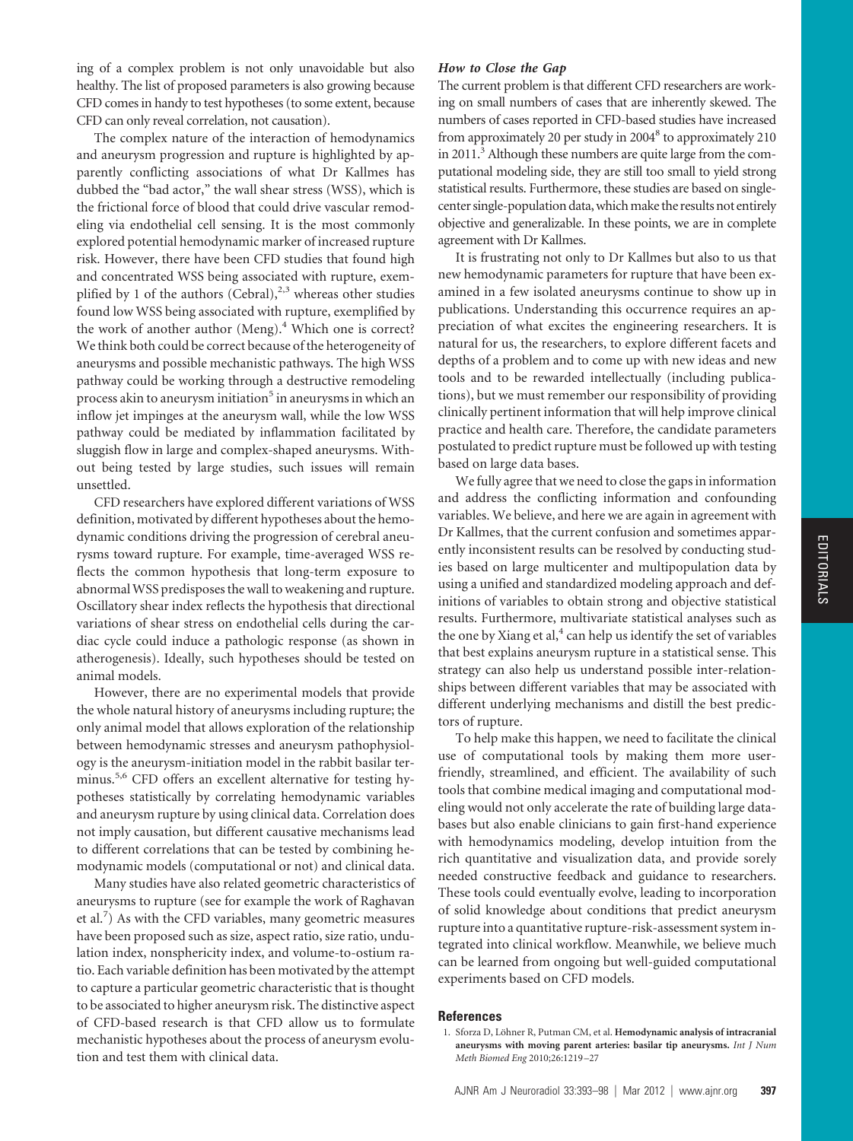ing of a complex problem is not only unavoidable but also healthy. The list of proposed parameters is also growing because CFD comes in handy to test hypotheses (to some extent, because CFD can only reveal correlation, not causation).

The complex nature of the interaction of hemodynamics and aneurysm progression and rupture is highlighted by apparently conflicting associations of what Dr Kallmes has dubbed the "bad actor," the wall shear stress (WSS), which is the frictional force of blood that could drive vascular remodeling via endothelial cell sensing. It is the most commonly explored potential hemodynamic marker of increased rupture risk. However, there have been CFD studies that found high and concentrated WSS being associated with rupture, exemplified by 1 of the authors (Cebral), $^{2,3}$  whereas other studies found low WSS being associated with rupture, exemplified by the work of another author (Meng).<sup>4</sup> Which one is correct? We think both could be correct because of the heterogeneity of aneurysms and possible mechanistic pathways. The high WSS pathway could be working through a destructive remodeling process akin to aneurysm initiation<sup>5</sup> in aneurysms in which an inflow jet impinges at the aneurysm wall, while the low WSS pathway could be mediated by inflammation facilitated by sluggish flow in large and complex-shaped aneurysms. Without being tested by large studies, such issues will remain unsettled.

CFD researchers have explored different variations of WSS definition, motivated by different hypotheses about the hemodynamic conditions driving the progression of cerebral aneurysms toward rupture. For example, time-averaged WSS reflects the common hypothesis that long-term exposure to abnormal WSS predisposes the wall to weakening and rupture. Oscillatory shear index reflects the hypothesis that directional variations of shear stress on endothelial cells during the cardiac cycle could induce a pathologic response (as shown in atherogenesis). Ideally, such hypotheses should be tested on animal models.

However, there are no experimental models that provide the whole natural history of aneurysms including rupture; the only animal model that allows exploration of the relationship between hemodynamic stresses and aneurysm pathophysiology is the aneurysm-initiation model in the rabbit basilar terminus.<sup>5,6</sup> CFD offers an excellent alternative for testing hypotheses statistically by correlating hemodynamic variables and aneurysm rupture by using clinical data. Correlation does not imply causation, but different causative mechanisms lead to different correlations that can be tested by combining hemodynamic models (computational or not) and clinical data.

Many studies have also related geometric characteristics of aneurysms to rupture (see for example the work of Raghavan et al.<sup>7</sup>) As with the CFD variables, many geometric measures have been proposed such as size, aspect ratio, size ratio, undulation index, nonsphericity index, and volume-to-ostium ratio. Each variable definition has been motivated by the attempt to capture a particular geometric characteristic that is thought to be associated to higher aneurysm risk. The distinctive aspect of CFD-based research is that CFD allow us to formulate mechanistic hypotheses about the process of aneurysm evolution and test them with clinical data.

## *How to Close the Gap*

The current problem is that different CFD researchers are working on small numbers of cases that are inherently skewed. The numbers of cases reported in CFD-based studies have increased from approximately 20 per study in 2004<sup>8</sup> to approximately 210 in 2011.<sup>3</sup> Although these numbers are quite large from the computational modeling side, they are still too small to yield strong statistical results. Furthermore, these studies are based on singlecenter single-population data, which make the results not entirely objective and generalizable. In these points, we are in complete agreement with Dr Kallmes.

It is frustrating not only to Dr Kallmes but also to us that new hemodynamic parameters for rupture that have been examined in a few isolated aneurysms continue to show up in publications. Understanding this occurrence requires an appreciation of what excites the engineering researchers. It is natural for us, the researchers, to explore different facets and depths of a problem and to come up with new ideas and new tools and to be rewarded intellectually (including publications), but we must remember our responsibility of providing clinically pertinent information that will help improve clinical practice and health care. Therefore, the candidate parameters postulated to predict rupture must be followed up with testing based on large data bases.

We fully agree that we need to close the gaps in information and address the conflicting information and confounding variables. We believe, and here we are again in agreement with Dr Kallmes, that the current confusion and sometimes apparently inconsistent results can be resolved by conducting studies based on large multicenter and multipopulation data by using a unified and standardized modeling approach and definitions of variables to obtain strong and objective statistical results. Furthermore, multivariate statistical analyses such as the one by Xiang et al, $4$  can help us identify the set of variables that best explains aneurysm rupture in a statistical sense. This strategy can also help us understand possible inter-relationships between different variables that may be associated with different underlying mechanisms and distill the best predictors of rupture.

To help make this happen, we need to facilitate the clinical use of computational tools by making them more userfriendly, streamlined, and efficient. The availability of such tools that combine medical imaging and computational modeling would not only accelerate the rate of building large databases but also enable clinicians to gain first-hand experience with hemodynamics modeling, develop intuition from the rich quantitative and visualization data, and provide sorely needed constructive feedback and guidance to researchers. These tools could eventually evolve, leading to incorporation of solid knowledge about conditions that predict aneurysm rupture into a quantitative rupture-risk-assessment system integrated into clinical workflow. Meanwhile, we believe much can be learned from ongoing but well-guided computational experiments based on CFD models.

#### **References**

<sup>1.</sup> Sforza D, Löhner R, Putman CM, et al. **Hemodynamic analysis of intracranial aneurysms with moving parent arteries: basilar tip aneurysms.** *Int J Num Meth Biomed Eng* 2010;26:1219 –27